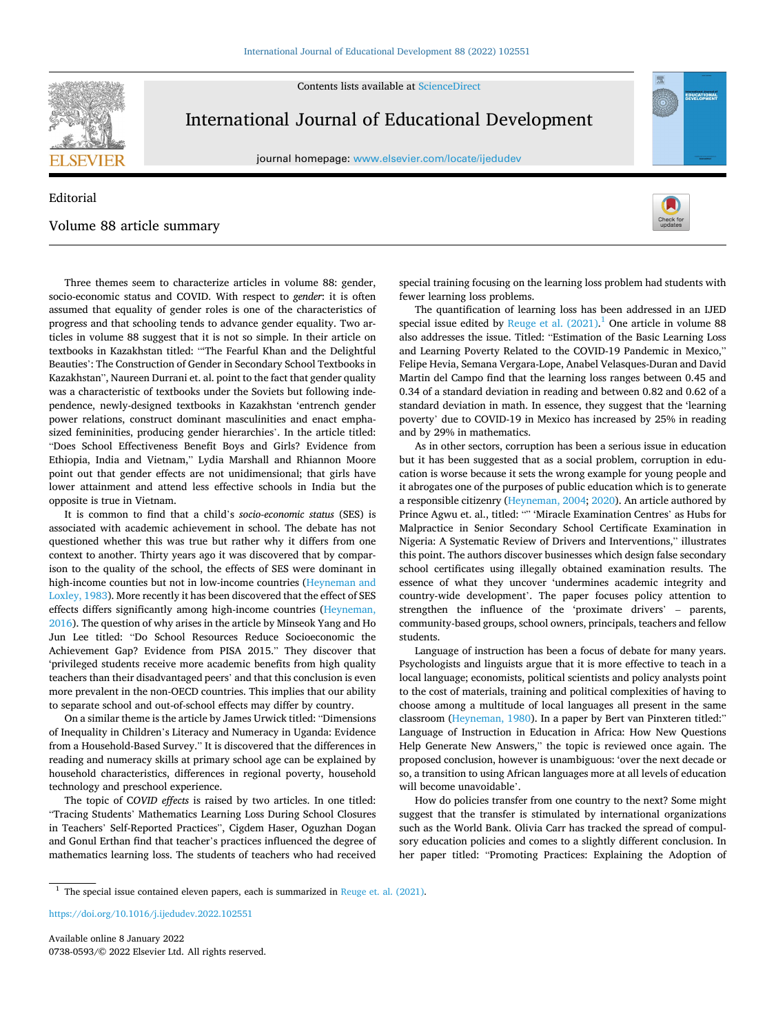Contents lists available at [ScienceDirect](www.sciencedirect.com/science/journal/07380593)



## International Journal of Educational Development

journal homepage: [www.elsevier.com/locate/ijedudev](https://www.elsevier.com/locate/ijedudev)

## Editorial Volume 88 article summary



EDUCATIONA

Three themes seem to characterize articles in volume 88: gender, socio-economic status and COVID. With respect to *gender*: it is often assumed that equality of gender roles is one of the characteristics of progress and that schooling tends to advance gender equality. Two articles in volume 88 suggest that it is not so simple. In their article on textbooks in Kazakhstan titled: "'The Fearful Khan and the Delightful Beauties': The Construction of Gender in Secondary School Textbooks in Kazakhstan", Naureen Durrani et. al. point to the fact that gender quality was a characteristic of textbooks under the Soviets but following independence, newly-designed textbooks in Kazakhstan 'entrench gender power relations, construct dominant masculinities and enact emphasized femininities, producing gender hierarchies'. In the article titled: "Does School Effectiveness Benefit Boys and Girls? Evidence from Ethiopia, India and Vietnam," Lydia Marshall and Rhiannon Moore point out that gender effects are not unidimensional; that girls have lower attainment and attend less effective schools in India but the opposite is true in Vietnam.

It is common to find that a child's *socio-economic status* (SES) is associated with academic achievement in school. The debate has not questioned whether this was true but rather why it differs from one context to another. Thirty years ago it was discovered that by comparison to the quality of the school, the effects of SES were dominant in high-income counties but not in low-income countries [\(Heyneman and](#page-1-0)  [Loxley, 1983\)](#page-1-0). More recently it has been discovered that the effect of SES effects differs significantly among high-income countries ([Heyneman,](#page-1-0)  [2016\)](#page-1-0). The question of why arises in the article by Minseok Yang and Ho Jun Lee titled: "Do School Resources Reduce Socioeconomic the Achievement Gap? Evidence from PISA 2015." They discover that 'privileged students receive more academic benefits from high quality teachers than their disadvantaged peers' and that this conclusion is even more prevalent in the non-OECD countries. This implies that our ability to separate school and out-of-school effects may differ by country.

On a similar theme is the article by James Urwick titled: "Dimensions of Inequality in Children's Literacy and Numeracy in Uganda: Evidence from a Household-Based Survey." It is discovered that the differences in reading and numeracy skills at primary school age can be explained by household characteristics, differences in regional poverty, household technology and preschool experience.

The topic of C*OVID effects* is raised by two articles. In one titled: "Tracing Students' Mathematics Learning Loss During School Closures in Teachers' Self-Reported Practices", Cigdem Haser, Oguzhan Dogan and Gonul Erthan find that teacher's practices influenced the degree of mathematics learning loss. The students of teachers who had received special training focusing on the learning loss problem had students with fewer learning loss problems.

The quantification of learning loss has been addressed in an IJED special issue edited by Reuge et al.  $(2021)$ .<sup>1</sup> One article in volume 88 also addresses the issue. Titled: "Estimation of the Basic Learning Loss and Learning Poverty Related to the COVID-19 Pandemic in Mexico," Felipe Hevia, Semana Vergara-Lope, Anabel Velasques-Duran and David Martin del Campo find that the learning loss ranges between 0.45 and 0.34 of a standard deviation in reading and between 0.82 and 0.62 of a standard deviation in math. In essence, they suggest that the 'learning poverty' due to COVID-19 in Mexico has increased by 25% in reading and by 29% in mathematics.

As in other sectors, corruption has been a serious issue in education but it has been suggested that as a social problem, corruption in education is worse because it sets the wrong example for young people and it abrogates one of the purposes of public education which is to generate a responsible citizenry ([Heyneman, 2004; 2020](#page-1-0)). An article authored by Prince Agwu et. al., titled: "" 'Miracle Examination Centres' as Hubs for Malpractice in Senior Secondary School Certificate Examination in Nigeria: A Systematic Review of Drivers and Interventions," illustrates this point. The authors discover businesses which design false secondary school certificates using illegally obtained examination results. The essence of what they uncover 'undermines academic integrity and country-wide development'. The paper focuses policy attention to strengthen the influence of the 'proximate drivers' – parents, community-based groups, school owners, principals, teachers and fellow students.

Language of instruction has been a focus of debate for many years. Psychologists and linguists argue that it is more effective to teach in a local language; economists, political scientists and policy analysts point to the cost of materials, training and political complexities of having to choose among a multitude of local languages all present in the same classroom [\(Heyneman, 1980\)](#page-1-0). In a paper by Bert van Pinxteren titled:" Language of Instruction in Education in Africa: How New Questions Help Generate New Answers," the topic is reviewed once again. The proposed conclusion, however is unambiguous: 'over the next decade or so, a transition to using African languages more at all levels of education will become unavoidable'.

How do policies transfer from one country to the next? Some might suggest that the transfer is stimulated by international organizations such as the World Bank. Olivia Carr has tracked the spread of compulsory education policies and comes to a slightly different conclusion. In her paper titled: "Promoting Practices: Explaining the Adoption of

<https://doi.org/10.1016/j.ijedudev.2022.102551>

 $1$  The special issue contained eleven papers, each is summarized in [Reuge et. al. \(2021\).](#page-1-0)